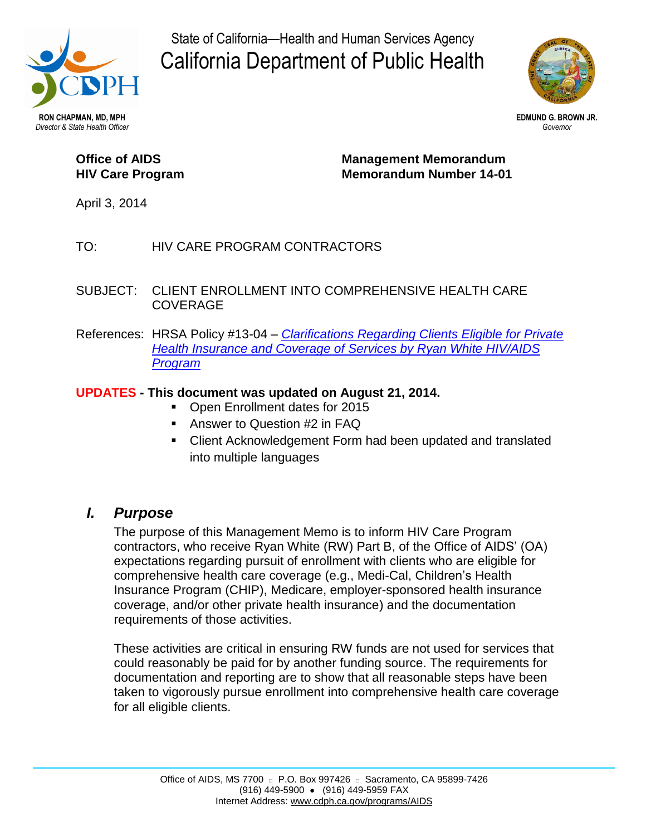

State of California—Health and Human Services Agency California Department of Public Health



### **Office of AIDS HIV Care Program**

**Management Memorandum Memorandum Number 14-01**

April 3, 2014

#### TO: HIV CARE PROGRAM CONTRACTORS

- SUBJECT: CLIENT ENROLLMENT INTO COMPREHENSIVE HEALTH CARE COVERAGE
- References: HRSA Policy #13-04 *[Clarifications Regarding Clients Eligible for Private](http://hab.hrsa.gov/manageyourgrant/pinspals/pcn1304privateinsurance.pdf)  [Health Insurance and Coverage of Services by Ryan White HIV/AIDS](http://hab.hrsa.gov/manageyourgrant/pinspals/pcn1304privateinsurance.pdf)  [Program](http://hab.hrsa.gov/manageyourgrant/pinspals/pcn1304privateinsurance.pdf)*

#### **UPDATES - This document was updated on August 21, 2014.**

- **Den Enrollment dates for 2015**
- Answer to Question #2 in FAQ
- Client Acknowledgement Form had been updated and translated into multiple languages

### *I. Purpose*

The purpose of this Management Memo is to inform HIV Care Program contractors, who receive Ryan White (RW) Part B, of the Office of AIDS' (OA) expectations regarding pursuit of enrollment with clients who are eligible for comprehensive health care coverage (e.g., Medi-Cal, Children's Health Insurance Program (CHIP), Medicare, employer-sponsored health insurance coverage, and/or other private health insurance) and the documentation requirements of those activities.

These activities are critical in ensuring RW funds are not used for services that could reasonably be paid for by another funding source. The requirements for documentation and reporting are to show that all reasonable steps have been taken to vigorously pursue enrollment into comprehensive health care coverage for all eligible clients.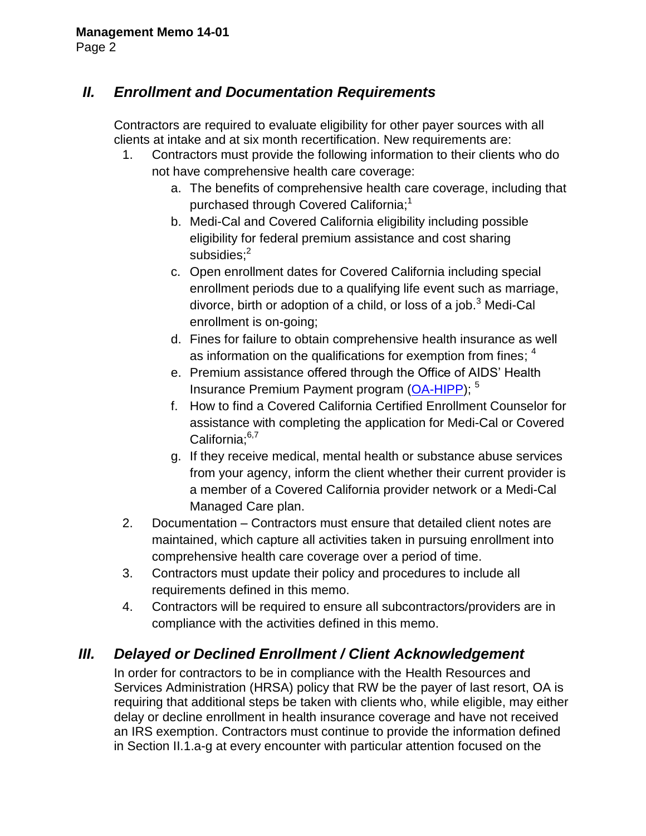# *II. Enrollment and Documentation Requirements*

Contractors are required to evaluate eligibility for other payer sources with all clients at intake and at six month recertification. New requirements are:

- 1. Contractors must provide the following information to their clients who do not have comprehensive health care coverage:
	- a. The benefits of comprehensive health care coverage, including that purchased through Covered California; $^{\rm 1}$
	- b. Medi-Cal and Covered California eligibility including possible eligibility for federal premium assistance and cost sharing subsidies;<sup>2</sup>
	- c. Open enrollment dates for Covered California including special enrollment periods due to a qualifying life event such as marriage, divorce, birth or adoption of a child, or loss of a job.<sup>3</sup> Medi-Cal enrollment is on-going;
	- d. Fines for failure to obtain comprehensive health insurance as well as information on the qualifications for exemption from fines;  $^{\rm 4}$
	- e. Premium assistance offered through the Office of AIDS' Health Insurance Premium Payment program [\(OA-HIPP\)](http://www.cdph.ca.gov/programs/aids/Pages/OAIAS.aspx); <sup>5</sup>
	- f. How to find a Covered California Certified Enrollment Counselor for assistance with completing the application for Medi-Cal or Covered California;<sup>6,7</sup>
	- g. If they receive medical, mental health or substance abuse services from your agency, inform the client whether their current provider is a member of a Covered California provider network or a Medi-Cal Managed Care plan.
- 2. Documentation Contractors must ensure that detailed client notes are maintained, which capture all activities taken in pursuing enrollment into comprehensive health care coverage over a period of time.
- 3. Contractors must update their policy and procedures to include all requirements defined in this memo.
- 4. Contractors will be required to ensure all subcontractors/providers are in compliance with the activities defined in this memo.

### *III. Delayed or Declined Enrollment / Client Acknowledgement*

In order for contractors to be in compliance with the Health Resources and Services Administration (HRSA) policy that RW be the payer of last resort, OA is requiring that additional steps be taken with clients who, while eligible, may either delay or decline enrollment in health insurance coverage and have not received an IRS exemption. Contractors must continue to provide the information defined in Section II.1.a-g at every encounter with particular attention focused on the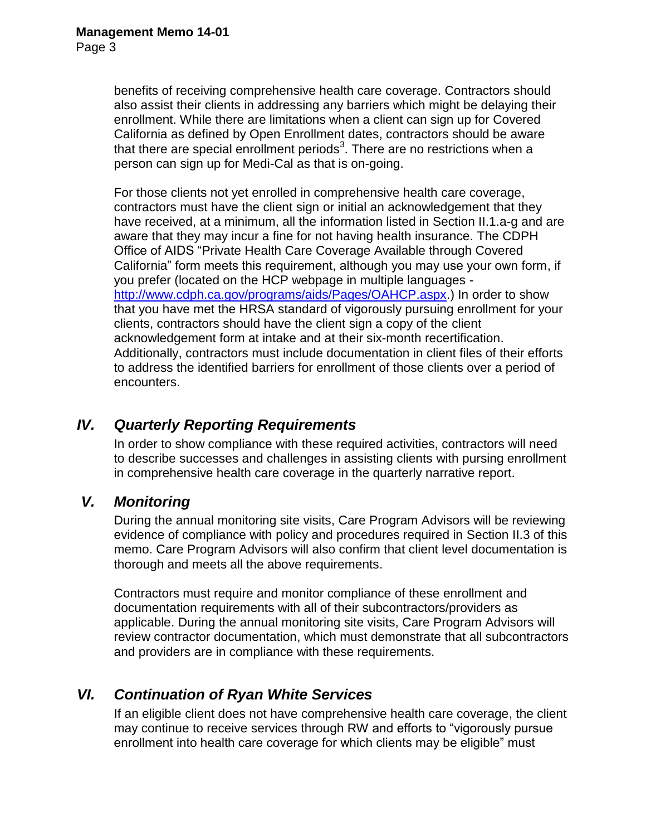benefits of receiving comprehensive health care coverage. Contractors should also assist their clients in addressing any barriers which might be delaying their enrollment. While there are limitations when a client can sign up for Covered California as defined by Open Enrollment dates, contractors should be aware that there are special enrollment periods<sup>3</sup>. There are no restrictions when a person can sign up for Medi-Cal as that is on-going.

For those clients not yet enrolled in comprehensive health care coverage, contractors must have the client sign or initial an acknowledgement that they have received, at a minimum, all the information listed in Section II.1.a-g and are aware that they may incur a fine for not having health insurance. The CDPH Office of AIDS "Private Health Care Coverage Available through Covered California" form meets this requirement, although you may use your own form, if you prefer (located on the HCP webpage in multiple languages [http://www.cdph.ca.gov/programs/aids/Pages/OAHCP.aspx.](http://www.cdph.ca.gov/programs/aids/Pages/OAHCP.aspx)) In order to show that you have met the HRSA standard of vigorously pursuing enrollment for your clients, contractors should have the client sign a copy of the client acknowledgement form at intake and at their six-month recertification. Additionally, contractors must include documentation in client files of their efforts to address the identified barriers for enrollment of those clients over a period of encounters.

## *IV. Quarterly Reporting Requirements*

In order to show compliance with these required activities, contractors will need to describe successes and challenges in assisting clients with pursing enrollment in comprehensive health care coverage in the quarterly narrative report.

### *V. Monitoring*

During the annual monitoring site visits, Care Program Advisors will be reviewing evidence of compliance with policy and procedures required in Section II.3 of this memo. Care Program Advisors will also confirm that client level documentation is thorough and meets all the above requirements.

Contractors must require and monitor compliance of these enrollment and documentation requirements with all of their subcontractors/providers as applicable. During the annual monitoring site visits, Care Program Advisors will review contractor documentation, which must demonstrate that all subcontractors and providers are in compliance with these requirements.

### *VI. Continuation of Ryan White Services*

If an eligible client does not have comprehensive health care coverage, the client may continue to receive services through RW and efforts to "vigorously pursue enrollment into health care coverage for which clients may be eligible" must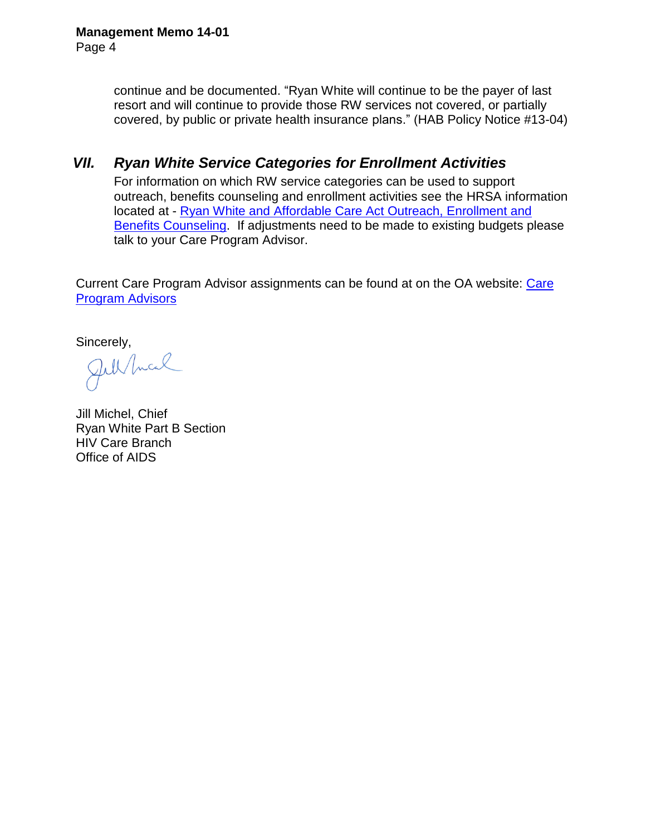continue and be documented. "Ryan White will continue to be the payer of last resort and will continue to provide those RW services not covered, or partially covered, by public or private health insurance plans." (HAB Policy Notice #13-04)

# *VII. Ryan White Service Categories for Enrollment Activities*

For information on which RW service categories can be used to support outreach, benefits counseling and enrollment activities see the HRSA information located at - [Ryan White and Affordable Care Act Outreach, Enrollment and](http://hab.hrsa.gov/affordablecareact/outreachenrollment.html)  [Benefits Counseling.](http://hab.hrsa.gov/affordablecareact/outreachenrollment.html) If adjustments need to be made to existing budgets please talk to your Care Program Advisor.

Current [Care](http://www.cdph.ca.gov/programs/aids/Documents/11MAD3cCareAdvisors.pdf) Program Advisor assignments can be found at on the OA website: Care [Program Advisors](http://www.cdph.ca.gov/programs/aids/Documents/11MAD3cCareAdvisors.pdf) 

Sincerely,<br>Jul/Incal

Jill Michel, Chief Ryan White Part B Section HIV Care Branch Office of AIDS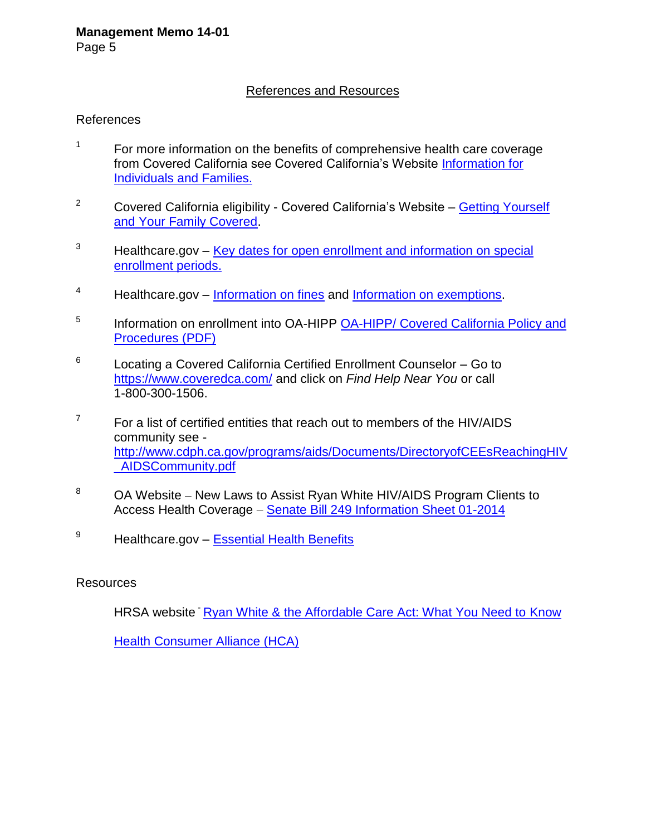#### References and Resources

#### References

- 1 For more information on the benefits of comprehensive health care coverage from Covered California see Covered California's Website [Information for](https://www.coveredca.com/individuals-and-families/)  [Individuals and Families.](https://www.coveredca.com/individuals-and-families/)
- <sup>2</sup> Covered California eligibility Covered California's Website Getting Yourself [and Your Family Covered.](https://www.coveredca.com/PDFs/fact-sheets/Covered_California_Getting_Covered_fact_sheet_English.pdf)
- $3$  Healthcare.gov Key dates for open enrollment and information on special [enrollment periods.](https://www.healthcare.gov/what-key-dates-do-i-need-to-know/)
- <sup>4</sup> Healthcare.gov [Information on fines](https://www.healthcare.gov/what-if-someone-doesnt-have-health-coverage-in-2014/) and [Information on exemptions.](https://www.healthcare.gov/exemptions/)
- 5 Information on enrollment into OA-HIPP OA-HIPP/ Covered California Policy and [Procedures \(PDF\)](http://www.cdph.ca.gov/programs/aids/Documents/IAS_MM_CC_PPs2013-12-03a.pdf)
- 6 Locating a Covered California Certified Enrollment Counselor – Go to <https://www.coveredca.com/> and click on *Find Help Near You* or call 1-800-300-1506.
- 7 For a list of certified entities that reach out to members of the HIV/AIDS community see [http://www.cdph.ca.gov/programs/aids/Documents/DirectoryofCEEsReachingHIV](http://www.cdph.ca.gov/programs/aids/Documents/DirectoryofCEEsReachingHIV_AIDSCommunity.pdf) [\\_AIDSCommunity.pdf](http://www.cdph.ca.gov/programs/aids/Documents/DirectoryofCEEsReachingHIV_AIDSCommunity.pdf)
- <sup>8</sup> OA Website New Laws to Assist Ryan White HIV/AIDS Program Clients to Access Health Coverage – [Senate Bill 249 Information Sheet 01-2014](http://www.cdph.ca.gov/programs/aids/Documents/Senate%20Bill%20249%20Overview.pdf)
- <sup>9</sup> Healthcare.gov **[Essential Health Benefits](https://www.healthcare.gov/glossary/essential-health-benefits/)**

#### Resources

HRSA website [Ryan White & the Affordable Care Act: What You Need to Know](http://hab.hrsa.gov/affordablecareact/index.html)

[Health Consumer Alliance \(HCA\)](http://healthconsumer.org/)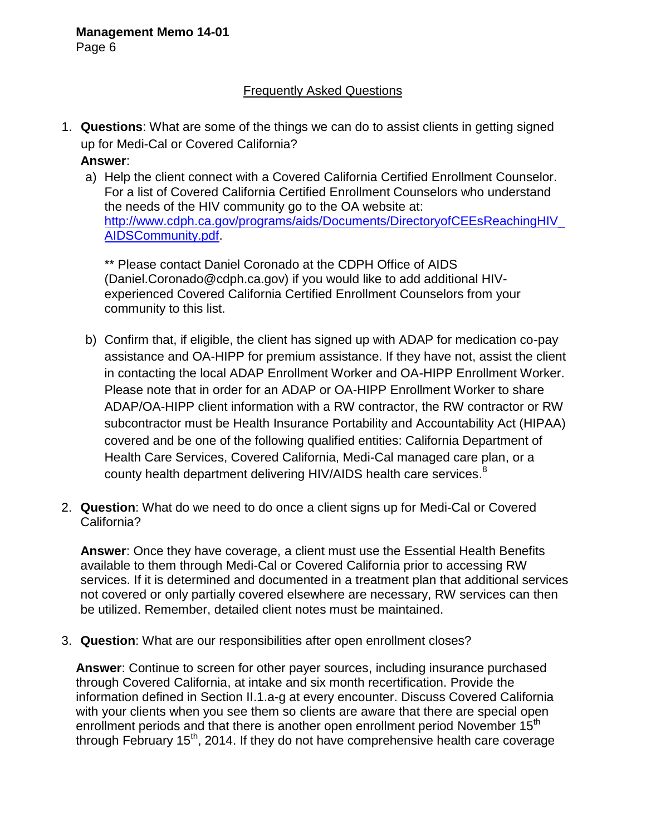#### Frequently Asked Questions

1. **Questions**: What are some of the things we can do to assist clients in getting signed up for Medi-Cal or Covered California?

**Answer**:

a) Help the client connect with a Covered California Certified Enrollment Counselor. For a list of Covered California Certified Enrollment Counselors who understand the needs of the HIV community go to the OA website at: http://www.cdph.ca.gov/programs/aids/Documents/DirectoryofCEEsReachingHIV [AIDSCommunity.pdf.](http://www.cdph.ca.gov/programs/aids/Documents/DirectoryofCEEsReachingHIV_AIDSCommunity.pdf)

\*\* Please contact Daniel Coronado at the CDPH Office of AIDS (Daniel.Coronado@cdph.ca.gov) if you would like to add additional HIVexperienced Covered California Certified Enrollment Counselors from your community to this list.

- b) Confirm that, if eligible, the client has signed up with ADAP for medication co-pay assistance and OA-HIPP for premium assistance. If they have not, assist the client in contacting the local ADAP Enrollment Worker and OA-HIPP Enrollment Worker. Please note that in order for an ADAP or OA-HIPP Enrollment Worker to share ADAP/OA-HIPP client information with a RW contractor, the RW contractor or RW subcontractor must be Health Insurance Portability and Accountability Act (HIPAA) covered and be one of the following qualified entities: California Department of Health Care Services, Covered California, Medi-Cal managed care plan, or a county health department delivering HIV/AIDS health care services. $^8$
- 2. **Question**: What do we need to do once a client signs up for Medi-Cal or Covered California?

**Answer**: Once they have coverage, a client must use the Essential Health Benefits available to them through Medi-Cal or Covered California prior to accessing RW services. If it is determined and documented in a treatment plan that additional services not covered or only partially covered elsewhere are necessary, RW services can then be utilized. Remember, detailed client notes must be maintained.

3. **Question**: What are our responsibilities after open enrollment closes?

**Answer**: Continue to screen for other payer sources, including insurance purchased through Covered California, at intake and six month recertification. Provide the information defined in Section II.1.a-g at every encounter. Discuss Covered California with your clients when you see them so clients are aware that there are special open enrollment periods and that there is another open enrollment period November 15<sup>th</sup> through February  $15<sup>th</sup>$ , 2014. If they do not have comprehensive health care coverage